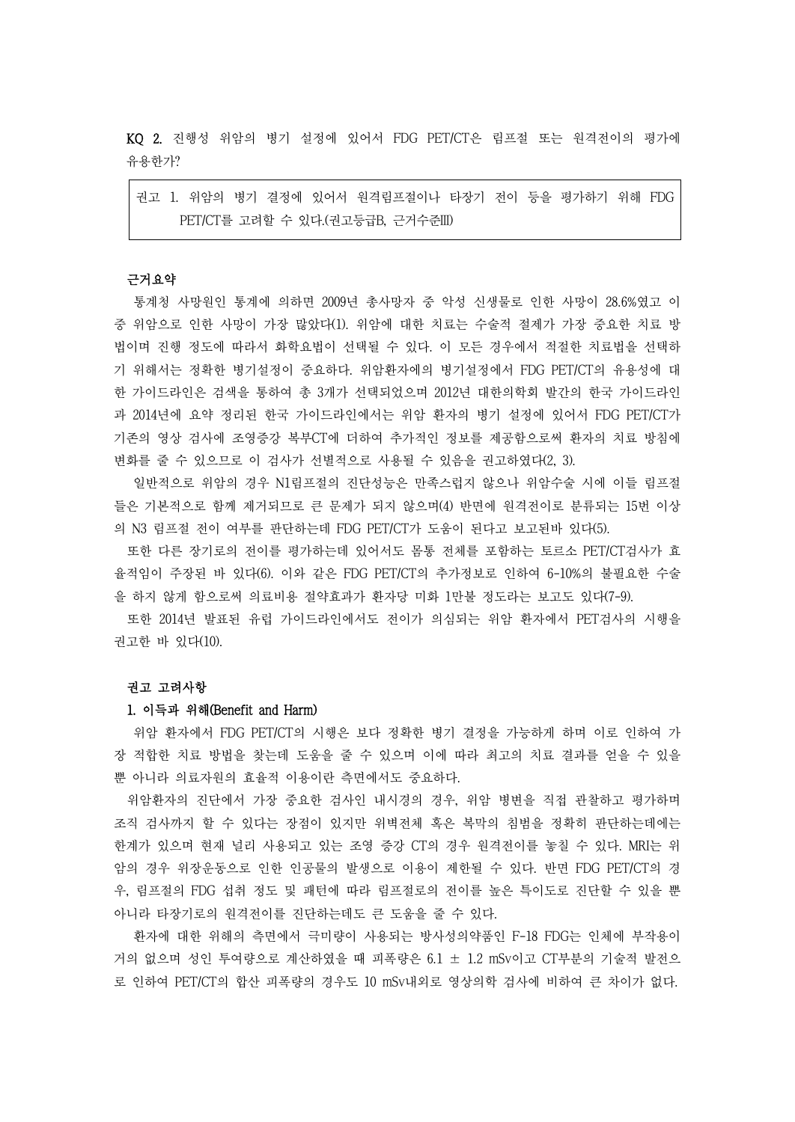KQ 2. 진행성 위암의 병기 설정에 있어서 FDG PET/CT은 림프절 또는 원격전이의 평가에 유용한가?

권고 1. 위암의 병기 결정에 있어서 원격림프절이나 타장기 전이 등을 평가하기 위해 FDG PET/CT를 고려할 수 있다.(권고등급B, 근거수준III)

#### 근거요약

통계청 사망원인 통계에 의하면 2009년 총사망자 중 악성 신생물로 인한 사망이 28.6%였고 이 중 위암으로 인한 사망이 가장 많았다(1). 위암에 대한 치료는 수술적 절제가 가장 중요한 치료 방 법이며 진행 정도에 따라서 화학요법이 선택될 수 있다. 이 모든 경우에서 적절한 치료법을 선택하 기 위해서는 정확한 병기설정이 중요하다. 위암환자에의 병기설정에서 FDG PET/CT의 유용성에 대 한 가이드라인은 검색을 통하여 총 3개가 선택되었으며 2012년 대한의학회 발간의 한국 가이드라인 과 2014년에 요약 정리된 한국 가이드라인에서는 위암 환자의 병기 설정에 있어서 FDG PET/CT가 기존의 영상 검사에 조영증강 복부CT에 더하여 추가적인 정보를 제공함으로써 환자의 치료 방침에 변화를 줄 수 있으므로 이 검사가 선별적으로 사용될 수 있음을 권고하였다(2, 3).

일반적으로 위암의 경우 N1림프절의 진단성능은 만족스럽지 않으나 위암수술 시에 이들 림프절 들은 기본적으로 함께 제거되므로 큰 문제가 되지 않으며(4) 반면에 원격전이로 분류되는 15번 이상 의 N3 림프절 전이 여부를 판단하는데 FDG PET/CT가 도움이 된다고 보고된바 있다(5).

또한 다른 장기로의 전이를 평가하는데 있어서도 몸통 전체를 포함하는 토르소 PET/CT검사가 효 율적임이 주장된 바 있다(6). 이와 같은 FDG PET/CT의 추가정보로 인하여 6-10%의 불필요한 수술 을 하지 않게 함으로써 의료비용 절약효과가 환자당 미화 1만불 정도라는 보고도 있다(7-9).

또한 2014년 발표된 유럽 가이드라인에서도 전이가 의심되는 위암 환자에서 PET검사의 시행을 권고한 바 있다(10).

### 권고 고려사항

### 1. 이득과 위해(Benefit and Harm)

위암 환자에서 FDG PET/CT의 시행은 보다 정확한 병기 결정을 가능하게 하며 이로 인하여 가 장 적합한 치료 방법을 찾는데 도움을 줄 수 있으며 이에 따라 최고의 치료 결과를 얻을 수 있을 뿐 아니라 의료자원의 효율적 이용이란 측면에서도 중요하다.<br>-<br>위암환자의 진단에서 가장 중요한 검사인 내시경의 경우, 위암 병변을 직접 관찰하고 평가하며

조직 검사까지 할 수 있다는 장점이 있지만 위벽전체 혹은 복막의 침범을 정확히 판단하는데에는 한계가 있으며 현재 널리 사용되고 있는 조영 증강 CT의 경우 원격전이를 놓칠 수 있다. MRI는 위 암의 경우 위장운동으로 인한 인공물의 발생으로 이용이 제한될 수 있다. 반면 FDG PET/CT의 경 우, 림프절의 FDG 섭취 정도 및 패턴에 따라 림프절로의 전이를 높은 특이도로 진단할 수 있을 뿐 아니라 타장기로의 원격전이를 진단하는데도 큰 도움을 줄 수 있다.<br>환자에 대한 위해의 측면에서 극미량이 사용되는 방사성의약품인 F-18 FDG는 인체에 부작용이

거의 없으며 성인 투여량으로 계산하였을 때 피폭량은 6.1 ± 1.2 mSv이고 CT부분의 기술적 발전으 로 인하여 PET/CT의 합산 피폭량의 경우도 10 mSv내외로 영상의학 검사에 비하여 큰 차이가 없다.